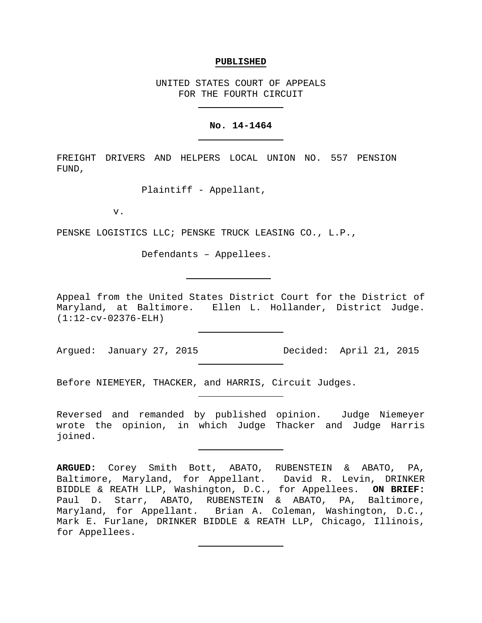## **PUBLISHED**

UNITED STATES COURT OF APPEALS FOR THE FOURTH CIRCUIT

## **No. 14-1464**

FREIGHT DRIVERS AND HELPERS LOCAL UNION NO. 557 PENSION FUND,

Plaintiff - Appellant,

v.

PENSKE LOGISTICS LLC; PENSKE TRUCK LEASING CO., L.P.,

Defendants – Appellees.

Appeal from the United States District Court for the District of Maryland, at Baltimore. Ellen L. Hollander, District Judge. (1:12-cv-02376-ELH)

Before NIEMEYER, THACKER, and HARRIS, Circuit Judges.

Reversed and remanded by published opinion. Judge Niemeyer wrote the opinion, in which Judge Thacker and Judge Harris joined.

**ARGUED:** Corey Smith Bott, ABATO, RUBENSTEIN & ABATO, PA, Baltimore, Maryland, for Appellant. David R. Levin, DRINKER BIDDLE & REATH LLP, Washington, D.C., for Appellees. **ON BRIEF:** Paul D. Starr, ABATO, RUBENSTEIN & ABATO, PA, Baltimore, Maryland, for Appellant. Brian A. Coleman, Washington, D.C., Mark E. Furlane, DRINKER BIDDLE & REATH LLP, Chicago, Illinois, for Appellees.

Argued: January 27, 2015 Game Decided: April 21, 2015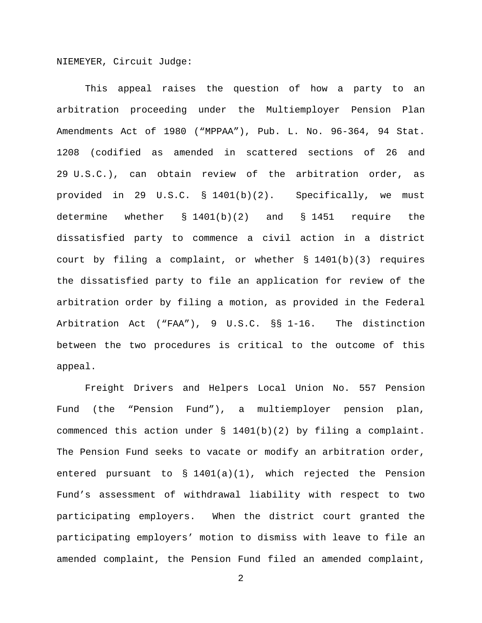NIEMEYER, Circuit Judge:

This appeal raises the question of how a party to an arbitration proceeding under the Multiemployer Pension Plan Amendments Act of 1980 ("MPPAA"), Pub. L. No. 96-364, 94 Stat. 1208 (codified as amended in scattered sections of 26 and 29 U.S.C.), can obtain review of the arbitration order, as provided in 29 U.S.C. § 1401(b)(2). Specifically, we must determine whether § 1401(b)(2) and § 1451 require the dissatisfied party to commence a civil action in a district court by filing a complaint, or whether § 1401(b)(3) requires the dissatisfied party to file an application for review of the arbitration order by filing a motion, as provided in the Federal Arbitration Act ("FAA"), 9 U.S.C. §§ 1-16. The distinction between the two procedures is critical to the outcome of this appeal.

Freight Drivers and Helpers Local Union No. 557 Pension Fund (the "Pension Fund"), a multiemployer pension plan, commenced this action under § 1401(b)(2) by filing a complaint. The Pension Fund seeks to vacate or modify an arbitration order, entered pursuant to § 1401(a)(1), which rejected the Pension Fund's assessment of withdrawal liability with respect to two participating employers. When the district court granted the participating employers' motion to dismiss with leave to file an amended complaint, the Pension Fund filed an amended complaint,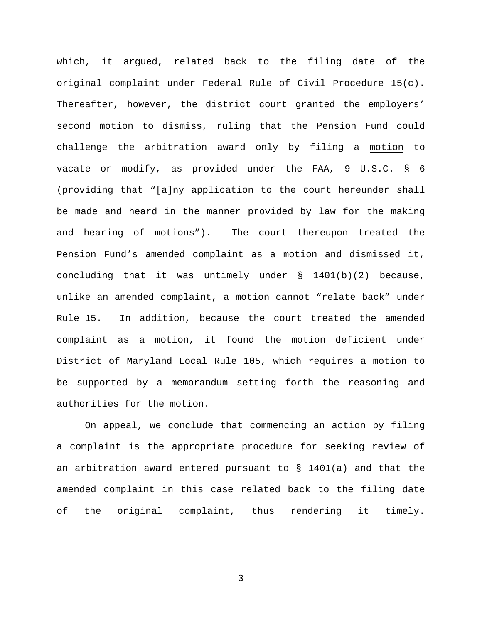which, it argued, related back to the filing date of the original complaint under Federal Rule of Civil Procedure 15(c). Thereafter, however, the district court granted the employers' second motion to dismiss, ruling that the Pension Fund could challenge the arbitration award only by filing a motion to vacate or modify, as provided under the FAA, 9 U.S.C. § 6 (providing that "[a]ny application to the court hereunder shall be made and heard in the manner provided by law for the making and hearing of motions"). The court thereupon treated the Pension Fund's amended complaint as a motion and dismissed it, concluding that it was untimely under  $\S$  1401(b)(2) because, unlike an amended complaint, a motion cannot "relate back" under Rule 15. In addition, because the court treated the amended complaint as a motion, it found the motion deficient under District of Maryland Local Rule 105, which requires a motion to be supported by a memorandum setting forth the reasoning and authorities for the motion.

On appeal, we conclude that commencing an action by filing a complaint is the appropriate procedure for seeking review of an arbitration award entered pursuant to § 1401(a) and that the amended complaint in this case related back to the filing date of the original complaint, thus rendering it timely.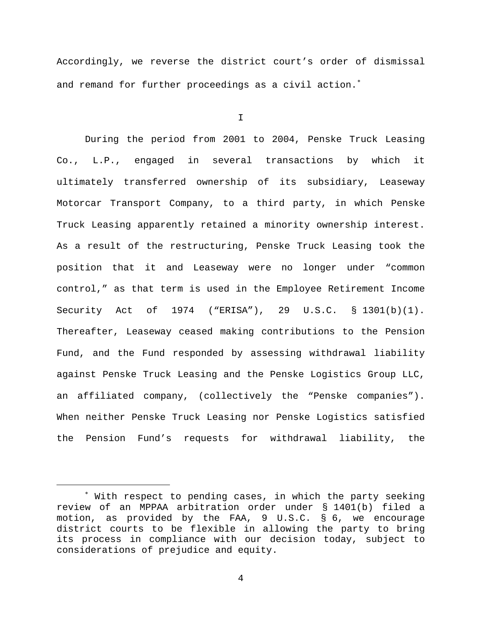Accordingly, we reverse the district court's order of dismissal and remand for further proceedings as a civil action.<sup>\*</sup>

I

During the period from 2001 to 2004, Penske Truck Leasing Co., L.P., engaged in several transactions by which it ultimately transferred ownership of its subsidiary, Leaseway Motorcar Transport Company, to a third party, in which Penske Truck Leasing apparently retained a minority ownership interest. As a result of the restructuring, Penske Truck Leasing took the position that it and Leaseway were no longer under "common control," as that term is used in the Employee Retirement Income Security Act of 1974 ("ERISA"), 29 U.S.C. § 1301(b)(1). Thereafter, Leaseway ceased making contributions to the Pension Fund, and the Fund responded by assessing withdrawal liability against Penske Truck Leasing and the Penske Logistics Group LLC, an affiliated company, (collectively the "Penske companies"). When neither Penske Truck Leasing nor Penske Logistics satisfied the Pension Fund's requests for withdrawal liability, the

<span id="page-3-0"></span><sup>∗</sup> With respect to pending cases, in which the party seeking review of an MPPAA arbitration order under § 1401(b) filed a motion, as provided by the FAA, 9 U.S.C. § 6, we encourage district courts to be flexible in allowing the party to bring its process in compliance with our decision today, subject to considerations of prejudice and equity.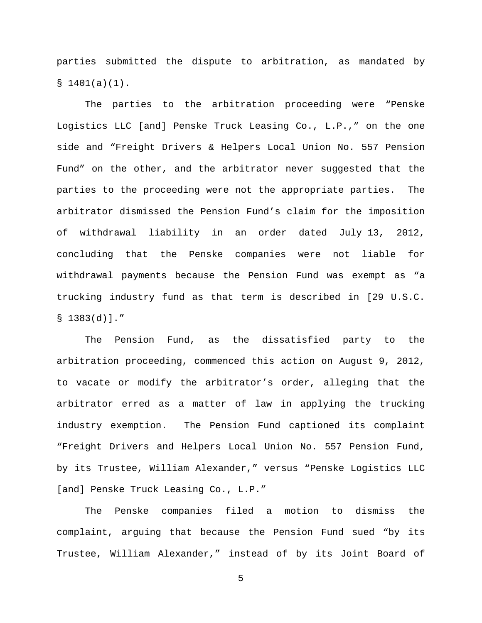parties submitted the dispute to arbitration, as mandated by  $$1401(a)(1)$ .

The parties to the arbitration proceeding were "Penske Logistics LLC [and] Penske Truck Leasing Co., L.P.," on the one side and "Freight Drivers & Helpers Local Union No. 557 Pension Fund" on the other, and the arbitrator never suggested that the parties to the proceeding were not the appropriate parties. The arbitrator dismissed the Pension Fund's claim for the imposition of withdrawal liability in an order dated July 13, 2012, concluding that the Penske companies were not liable for withdrawal payments because the Pension Fund was exempt as "a trucking industry fund as that term is described in [29 U.S.C.  $$1383(d)].$ 

The Pension Fund, as the dissatisfied party to the arbitration proceeding, commenced this action on August 9, 2012, to vacate or modify the arbitrator's order, alleging that the arbitrator erred as a matter of law in applying the trucking industry exemption. The Pension Fund captioned its complaint "Freight Drivers and Helpers Local Union No. 557 Pension Fund, by its Trustee, William Alexander," versus "Penske Logistics LLC [and] Penske Truck Leasing Co., L.P."

The Penske companies filed a motion to dismiss the complaint, arguing that because the Pension Fund sued "by its Trustee, William Alexander," instead of by its Joint Board of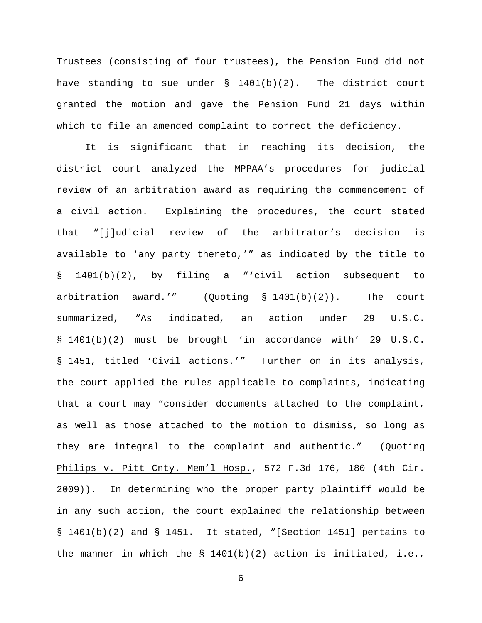Trustees (consisting of four trustees), the Pension Fund did not have standing to sue under  $\S$  1401(b)(2). The district court granted the motion and gave the Pension Fund 21 days within which to file an amended complaint to correct the deficiency.

It is significant that in reaching its decision, the district court analyzed the MPPAA's procedures for judicial review of an arbitration award as requiring the commencement of a civil action. Explaining the procedures, the court stated that "[j]udicial review of the arbitrator's decision is available to 'any party thereto,'" as indicated by the title to § 1401(b)(2), by filing a "'civil action subsequent to arbitration award.'" (Quoting § 1401(b)(2)). The court summarized, "As indicated, an action under 29 U.S.C. § 1401(b)(2) must be brought 'in accordance with' 29 U.S.C. § 1451, titled 'Civil actions.'" Further on in its analysis, the court applied the rules applicable to complaints, indicating that a court may "consider documents attached to the complaint, as well as those attached to the motion to dismiss, so long as they are integral to the complaint and authentic." (Quoting Philips v. Pitt Cnty. Mem'l Hosp., 572 F.3d 176, 180 (4th Cir. 2009)). In determining who the proper party plaintiff would be in any such action, the court explained the relationship between § 1401(b)(2) and § 1451. It stated, "[Section 1451] pertains to the manner in which the § 1401(b)(2) action is initiated, i.e.,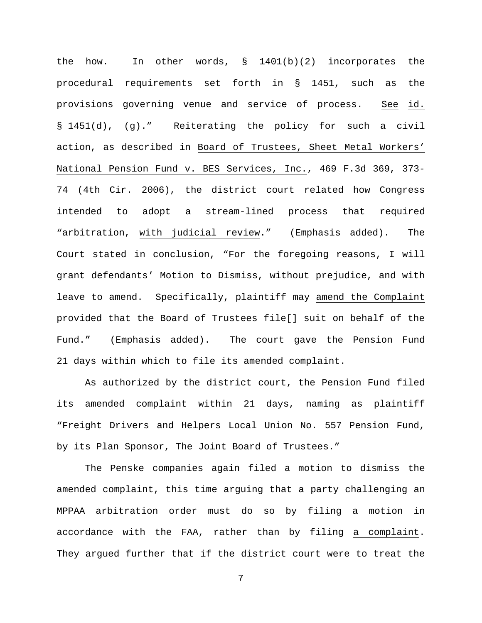the how. In other words,  $\S$  1401(b)(2) incorporates the procedural requirements set forth in § 1451, such as the provisions governing venue and service of process. See id. § 1451(d), (g)." Reiterating the policy for such a civil action, as described in Board of Trustees, Sheet Metal Workers' National Pension Fund v. BES Services, Inc., 469 F.3d 369, 373- 74 (4th Cir. 2006), the district court related how Congress intended to adopt a stream-lined process that required "arbitration, with judicial review." (Emphasis added). The Court stated in conclusion, "For the foregoing reasons, I will grant defendants' Motion to Dismiss, without prejudice, and with leave to amend. Specifically, plaintiff may amend the Complaint provided that the Board of Trustees file[] suit on behalf of the Fund." (Emphasis added). The court gave the Pension Fund 21 days within which to file its amended complaint.

As authorized by the district court, the Pension Fund filed its amended complaint within 21 days, naming as plaintiff "Freight Drivers and Helpers Local Union No. 557 Pension Fund, by its Plan Sponsor, The Joint Board of Trustees."

The Penske companies again filed a motion to dismiss the amended complaint, this time arguing that a party challenging an MPPAA arbitration order must do so by filing a motion in accordance with the FAA, rather than by filing a complaint. They argued further that if the district court were to treat the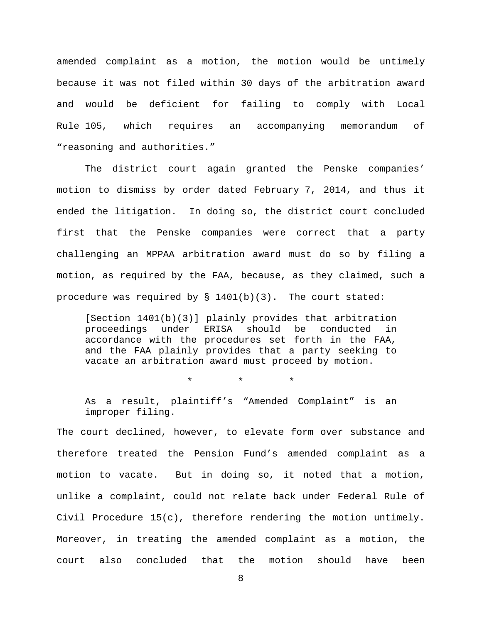amended complaint as a motion, the motion would be untimely because it was not filed within 30 days of the arbitration award and would be deficient for failing to comply with Local Rule 105, which requires an accompanying memorandum of "reasoning and authorities."

The district court again granted the Penske companies' motion to dismiss by order dated February 7, 2014, and thus it ended the litigation. In doing so, the district court concluded first that the Penske companies were correct that a party challenging an MPPAA arbitration award must do so by filing a motion, as required by the FAA, because, as they claimed, such a procedure was required by  $\S$  1401(b)(3). The court stated:

[Section 1401(b)(3)] plainly provides that arbitration proceedings under ERISA should be conducted in accordance with the procedures set forth in the FAA, and the FAA plainly provides that a party seeking to vacate an arbitration award must proceed by motion.

\* \* \*

As a result, plaintiff's "Amended Complaint" is an improper filing.

The court declined, however, to elevate form over substance and therefore treated the Pension Fund's amended complaint as a motion to vacate. But in doing so, it noted that a motion, unlike a complaint, could not relate back under Federal Rule of Civil Procedure 15(c), therefore rendering the motion untimely. Moreover, in treating the amended complaint as a motion, the court also concluded that the motion should have been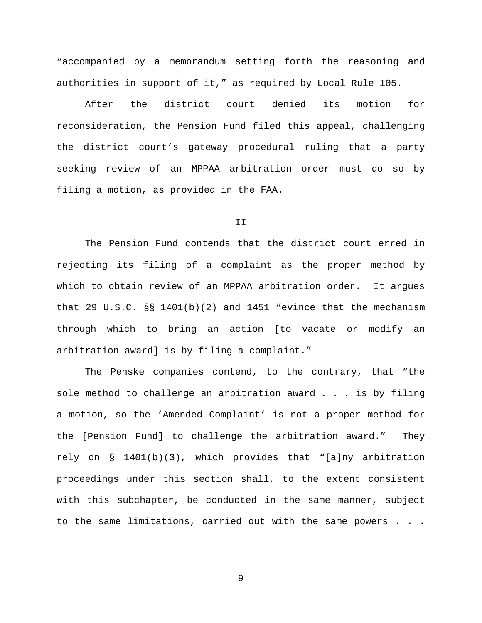"accompanied by a memorandum setting forth the reasoning and authorities in support of it," as required by Local Rule 105.

After the district court denied its motion for reconsideration, the Pension Fund filed this appeal, challenging the district court's gateway procedural ruling that a party seeking review of an MPPAA arbitration order must do so by filing a motion, as provided in the FAA.

## II

The Pension Fund contends that the district court erred in rejecting its filing of a complaint as the proper method by which to obtain review of an MPPAA arbitration order. It argues that 29 U.S.C.  $\S$  1401(b)(2) and 1451 "evince that the mechanism through which to bring an action [to vacate or modify an arbitration award] is by filing a complaint."

The Penske companies contend, to the contrary, that "the sole method to challenge an arbitration award . . . is by filing a motion, so the 'Amended Complaint' is not a proper method for the [Pension Fund] to challenge the arbitration award." They rely on  $\S$  1401(b)(3), which provides that "[a]ny arbitration proceedings under this section shall, to the extent consistent with this subchapter, be conducted in the same manner, subject to the same limitations, carried out with the same powers . . .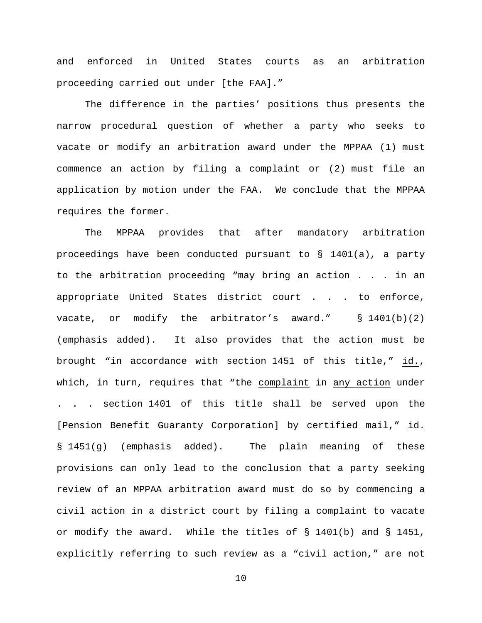and enforced in United States courts as an arbitration proceeding carried out under [the FAA]."

The difference in the parties' positions thus presents the narrow procedural question of whether a party who seeks to vacate or modify an arbitration award under the MPPAA (1) must commence an action by filing a complaint or (2) must file an application by motion under the FAA. We conclude that the MPPAA requires the former.

The MPPAA provides that after mandatory arbitration proceedings have been conducted pursuant to § 1401(a), a party to the arbitration proceeding "may bring an action . . . in an appropriate United States district court . . . to enforce, vacate, or modify the arbitrator's award."  $\S$  1401(b)(2) (emphasis added). It also provides that the action must be brought "in accordance with section 1451 of this title," id., which, in turn, requires that "the complaint in any action under . . . section 1401 of this title shall be served upon the [Pension Benefit Guaranty Corporation] by certified mail," id. § 1451(g) (emphasis added). The plain meaning of these provisions can only lead to the conclusion that a party seeking review of an MPPAA arbitration award must do so by commencing a civil action in a district court by filing a complaint to vacate or modify the award. While the titles of § 1401(b) and § 1451, explicitly referring to such review as a "civil action," are not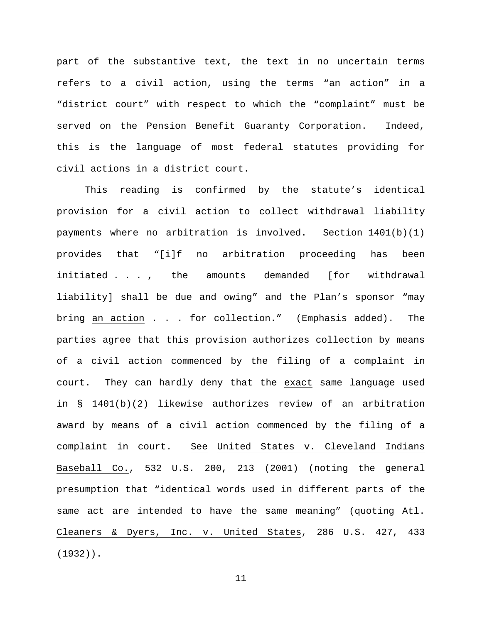part of the substantive text, the text in no uncertain terms refers to a civil action, using the terms "an action" in a "district court" with respect to which the "complaint" must be served on the Pension Benefit Guaranty Corporation. Indeed, this is the language of most federal statutes providing for civil actions in a district court.

This reading is confirmed by the statute's identical provision for a civil action to collect withdrawal liability payments where no arbitration is involved. Section 1401(b)(1) provides that "[i]f no arbitration proceeding has been initiated . . . , the amounts demanded [for withdrawal liability] shall be due and owing" and the Plan's sponsor "may bring an action . . . for collection." (Emphasis added). The parties agree that this provision authorizes collection by means of a civil action commenced by the filing of a complaint in court. They can hardly deny that the exact same language used in § 1401(b)(2) likewise authorizes review of an arbitration award by means of a civil action commenced by the filing of a complaint in court. See United States v. Cleveland Indians Baseball Co., 532 U.S. 200, 213 (2001) (noting the general presumption that "identical words used in different parts of the same act are intended to have the same meaning" (quoting Atl. Cleaners & Dyers, Inc. v. United States, 286 U.S. 427, 433 (1932)).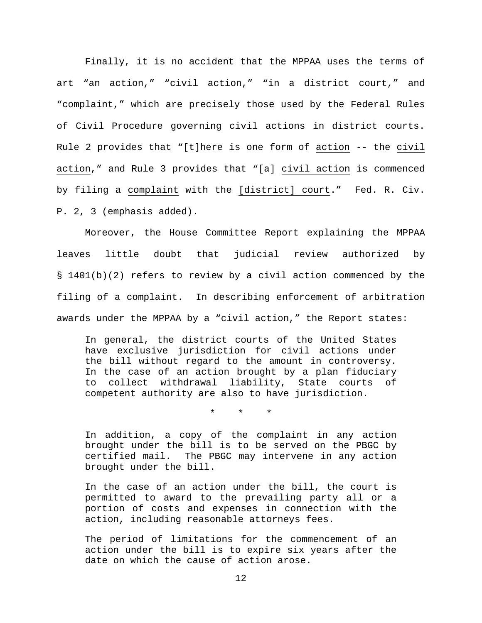Finally, it is no accident that the MPPAA uses the terms of art "an action," "civil action," "in a district court," and "complaint," which are precisely those used by the Federal Rules of Civil Procedure governing civil actions in district courts. Rule 2 provides that "[t]here is one form of action -- the civil action," and Rule 3 provides that "[a] civil action is commenced by filing a complaint with the [district] court." Fed. R. Civ. P. 2, 3 (emphasis added).

Moreover, the House Committee Report explaining the MPPAA leaves little doubt that judicial review authorized by § 1401(b)(2) refers to review by a civil action commenced by the filing of a complaint. In describing enforcement of arbitration awards under the MPPAA by a "civil action," the Report states:

In general, the district courts of the United States have exclusive jurisdiction for civil actions under the bill without regard to the amount in controversy. In the case of an action brought by a plan fiduciary to collect withdrawal liability, State courts of competent authority are also to have jurisdiction.

\* \* \*

In addition, a copy of the complaint in any action brought under the bill is to be served on the PBGC by certified mail. The PBGC may intervene in any action brought under the bill.

In the case of an action under the bill, the court is permitted to award to the prevailing party all or a portion of costs and expenses in connection with the action, including reasonable attorneys fees.

The period of limitations for the commencement of an action under the bill is to expire six years after the date on which the cause of action arose.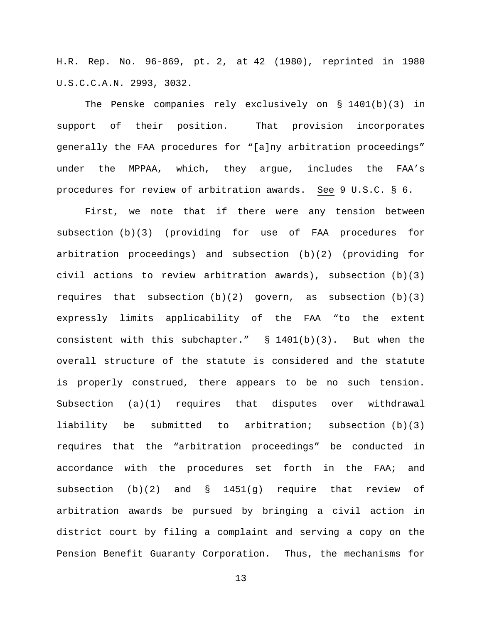H.R. Rep. No. 96-869, pt. 2, at 42 (1980), reprinted in 1980 U.S.C.C.A.N. 2993, 3032.

The Penske companies rely exclusively on § 1401(b)(3) in support of their position. That provision incorporates generally the FAA procedures for "[a]ny arbitration proceedings" under the MPPAA, which, they argue, includes the FAA's procedures for review of arbitration awards. See 9 U.S.C. § 6.

First, we note that if there were any tension between subsection (b)(3) (providing for use of FAA procedures for arbitration proceedings) and subsection (b)(2) (providing for civil actions to review arbitration awards), subsection (b)(3) requires that subsection  $(b)(2)$  govern, as subsection  $(b)(3)$ expressly limits applicability of the FAA "to the extent consistent with this subchapter."  $\S$  1401(b)(3). But when the overall structure of the statute is considered and the statute is properly construed, there appears to be no such tension. Subsection (a)(1) requires that disputes over withdrawal liability be submitted to arbitration; subsection (b)(3) requires that the "arbitration proceedings" be conducted in accordance with the procedures set forth in the FAA; and subsection (b)(2) and § 1451(g) require that review of arbitration awards be pursued by bringing a civil action in district court by filing a complaint and serving a copy on the Pension Benefit Guaranty Corporation. Thus, the mechanisms for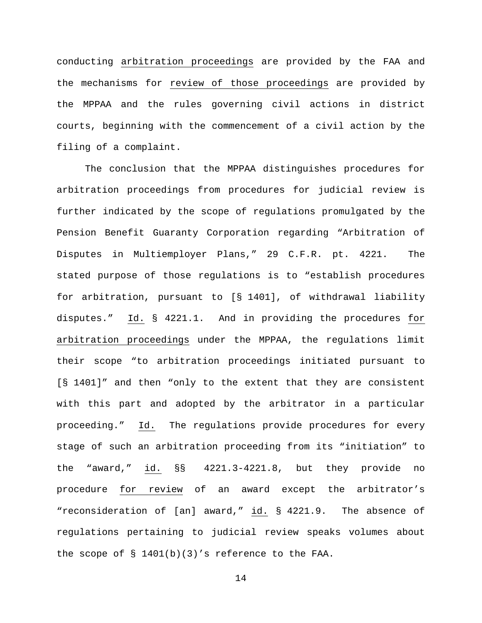conducting arbitration proceedings are provided by the FAA and the mechanisms for review of those proceedings are provided by the MPPAA and the rules governing civil actions in district courts, beginning with the commencement of a civil action by the filing of a complaint.

The conclusion that the MPPAA distinguishes procedures for arbitration proceedings from procedures for judicial review is further indicated by the scope of regulations promulgated by the Pension Benefit Guaranty Corporation regarding "Arbitration of Disputes in Multiemployer Plans," 29 C.F.R. pt. 4221. The stated purpose of those regulations is to "establish procedures for arbitration, pursuant to [§ 1401], of withdrawal liability disputes." Id. § 4221.1. And in providing the procedures for arbitration proceedings under the MPPAA, the regulations limit their scope "to arbitration proceedings initiated pursuant to [§ 1401]" and then "only to the extent that they are consistent with this part and adopted by the arbitrator in a particular proceeding." Id. The regulations provide procedures for every stage of such an arbitration proceeding from its "initiation" to the "award," id. §§ 4221.3-4221.8, but they provide no procedure for review of an award except the arbitrator's "reconsideration of [an] award," id. § 4221.9. The absence of regulations pertaining to judicial review speaks volumes about the scope of § 1401(b)(3)'s reference to the FAA.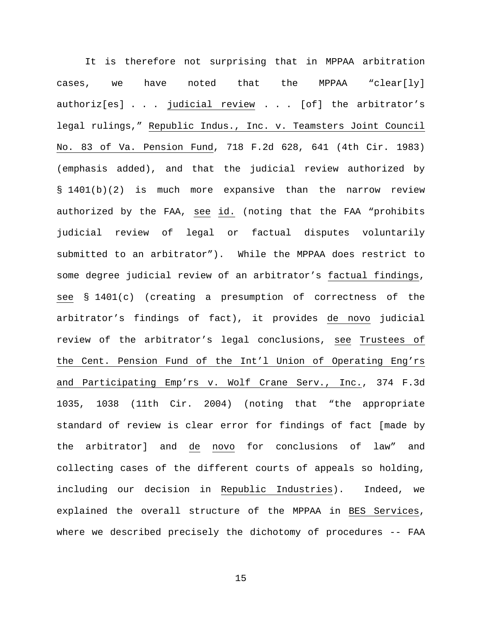It is therefore not surprising that in MPPAA arbitration cases, we have noted that the MPPAA "clear[ly] authoriz[es] . . . judicial review . . . [of] the arbitrator's legal rulings," Republic Indus., Inc. v. Teamsters Joint Council No. 83 of Va. Pension Fund, 718 F.2d 628, 641 (4th Cir. 1983) (emphasis added), and that the judicial review authorized by § 1401(b)(2) is much more expansive than the narrow review authorized by the FAA, see id. (noting that the FAA "prohibits judicial review of legal or factual disputes voluntarily submitted to an arbitrator"). While the MPPAA does restrict to some degree judicial review of an arbitrator's factual findings, see § 1401(c) (creating a presumption of correctness of the arbitrator's findings of fact), it provides de novo judicial review of the arbitrator's legal conclusions, see Trustees of the Cent. Pension Fund of the Int'l Union of Operating Eng'rs and Participating Emp'rs v. Wolf Crane Serv., Inc., 374 F.3d 1035, 1038 (11th Cir. 2004) (noting that "the appropriate standard of review is clear error for findings of fact [made by the arbitrator] and de novo for conclusions of law" and collecting cases of the different courts of appeals so holding, including our decision in Republic Industries). Indeed, we explained the overall structure of the MPPAA in BES Services, where we described precisely the dichotomy of procedures -- FAA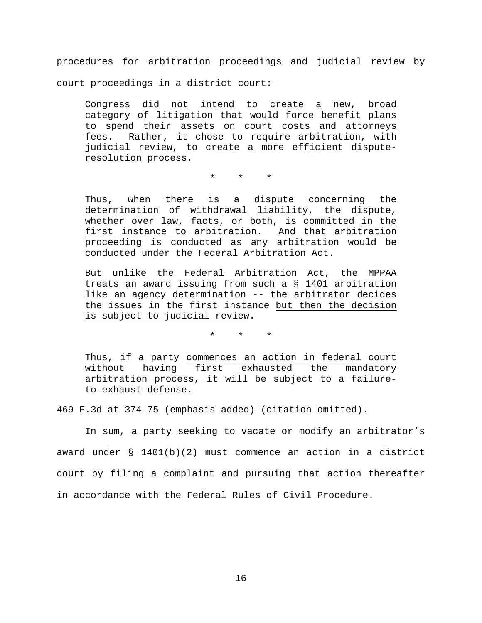procedures for arbitration proceedings and judicial review by court proceedings in a district court:

Congress did not intend to create a new, broad category of litigation that would force benefit plans to spend their assets on court costs and attorneys fees. Rather, it chose to require arbitration, with judicial review, to create a more efficient disputeresolution process.

\* \* \*

Thus, when there is a dispute concerning the determination of withdrawal liability, the dispute, whether over law, facts, or both, is committed in the first instance to arbitration. And that arbitration proceeding is conducted as any arbitration would be conducted under the Federal Arbitration Act.

But unlike the Federal Arbitration Act, the MPPAA treats an award issuing from such a § 1401 arbitration like an agency determination -- the arbitrator decides the issues in the first instance but then the decision is subject to judicial review.

\* \* \*

Thus, if a party commences an action in federal court without having first exhausted the mandatory arbitration process, it will be subject to a failureto-exhaust defense.

469 F.3d at 374-75 (emphasis added) (citation omitted).

In sum, a party seeking to vacate or modify an arbitrator's award under § 1401(b)(2) must commence an action in a district court by filing a complaint and pursuing that action thereafter in accordance with the Federal Rules of Civil Procedure.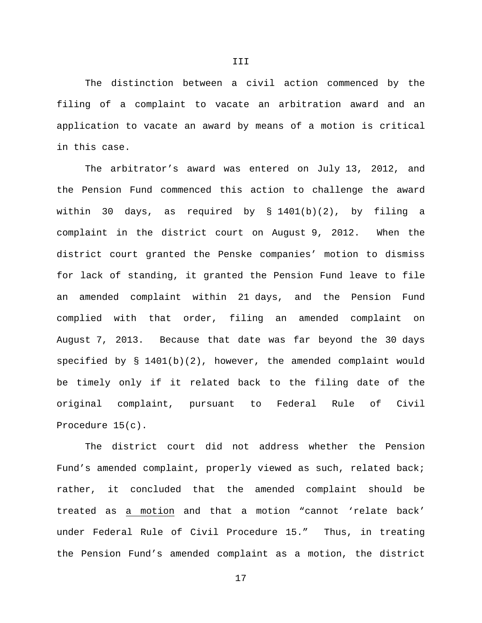The distinction between a civil action commenced by the filing of a complaint to vacate an arbitration award and an application to vacate an award by means of a motion is critical in this case.

The arbitrator's award was entered on July 13, 2012, and the Pension Fund commenced this action to challenge the award within 30 days, as required by § 1401(b)(2), by filing a complaint in the district court on August 9, 2012. When the district court granted the Penske companies' motion to dismiss for lack of standing, it granted the Pension Fund leave to file an amended complaint within 21 days, and the Pension Fund complied with that order, filing an amended complaint on August 7, 2013. Because that date was far beyond the 30 days specified by  $\S$  1401(b)(2), however, the amended complaint would be timely only if it related back to the filing date of the original complaint, pursuant to Federal Rule of Civil Procedure 15(c).

The district court did not address whether the Pension Fund's amended complaint, properly viewed as such, related back; rather, it concluded that the amended complaint should be treated as a motion and that a motion "cannot 'relate back' under Federal Rule of Civil Procedure 15." Thus, in treating the Pension Fund's amended complaint as a motion, the district

III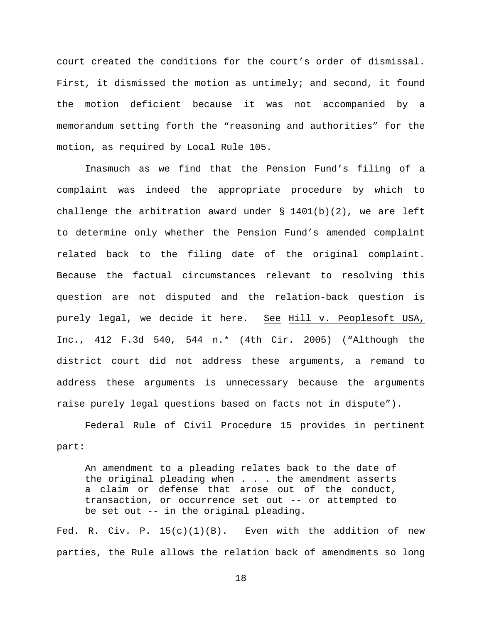court created the conditions for the court's order of dismissal. First, it dismissed the motion as untimely; and second, it found the motion deficient because it was not accompanied by a memorandum setting forth the "reasoning and authorities" for the motion, as required by Local Rule 105.

Inasmuch as we find that the Pension Fund's filing of a complaint was indeed the appropriate procedure by which to challenge the arbitration award under  $\S$  1401(b)(2), we are left to determine only whether the Pension Fund's amended complaint related back to the filing date of the original complaint. Because the factual circumstances relevant to resolving this question are not disputed and the relation-back question is purely legal, we decide it here. See Hill v. Peoplesoft USA, Inc., 412 F.3d 540, 544 n.\* (4th Cir. 2005) ("Although the district court did not address these arguments, a remand to address these arguments is unnecessary because the arguments raise purely legal questions based on facts not in dispute").

Federal Rule of Civil Procedure 15 provides in pertinent part:

An amendment to a pleading relates back to the date of the original pleading when . . . the amendment asserts a claim or defense that arose out of the conduct, transaction, or occurrence set out -- or attempted to be set out -- in the original pleading.

Fed. R. Civ. P.  $15(c)(1)(B)$ . Even with the addition of new parties, the Rule allows the relation back of amendments so long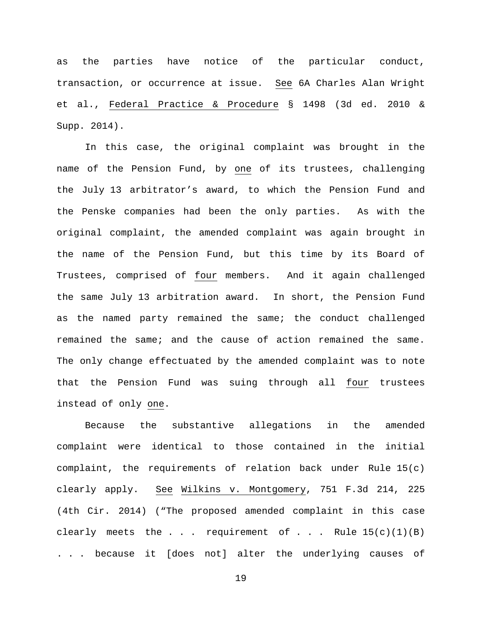as the parties have notice of the particular conduct, transaction, or occurrence at issue. See 6A Charles Alan Wright et al., Federal Practice & Procedure § 1498 (3d ed. 2010 & Supp. 2014).

In this case, the original complaint was brought in the name of the Pension Fund, by one of its trustees, challenging the July 13 arbitrator's award, to which the Pension Fund and the Penske companies had been the only parties. As with the original complaint, the amended complaint was again brought in the name of the Pension Fund, but this time by its Board of Trustees, comprised of four members. And it again challenged the same July 13 arbitration award. In short, the Pension Fund as the named party remained the same; the conduct challenged remained the same; and the cause of action remained the same. The only change effectuated by the amended complaint was to note that the Pension Fund was suing through all four trustees instead of only one.

Because the substantive allegations in the amended complaint were identical to those contained in the initial complaint, the requirements of relation back under Rule 15(c) clearly apply. See Wilkins v. Montgomery, 751 F.3d 214, 225 (4th Cir. 2014) ("The proposed amended complaint in this case clearly meets the . . . requirement of . . . Rule  $15(c)(1)(B)$ . . . because it [does not] alter the underlying causes of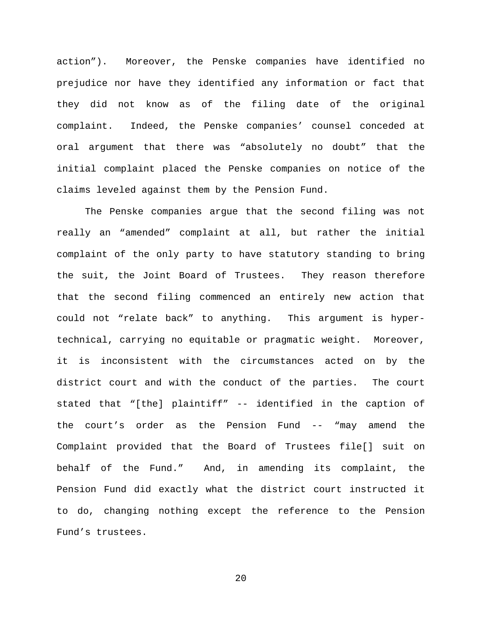action"). Moreover, the Penske companies have identified no prejudice nor have they identified any information or fact that they did not know as of the filing date of the original complaint. Indeed, the Penske companies' counsel conceded at oral argument that there was "absolutely no doubt" that the initial complaint placed the Penske companies on notice of the claims leveled against them by the Pension Fund.

The Penske companies argue that the second filing was not really an "amended" complaint at all, but rather the initial complaint of the only party to have statutory standing to bring the suit, the Joint Board of Trustees. They reason therefore that the second filing commenced an entirely new action that could not "relate back" to anything. This argument is hypertechnical, carrying no equitable or pragmatic weight. Moreover, it is inconsistent with the circumstances acted on by the district court and with the conduct of the parties. The court stated that "[the] plaintiff" -- identified in the caption of the court's order as the Pension Fund -- "may amend the Complaint provided that the Board of Trustees file[] suit on behalf of the Fund." And, in amending its complaint, the Pension Fund did exactly what the district court instructed it to do, changing nothing except the reference to the Pension Fund's trustees.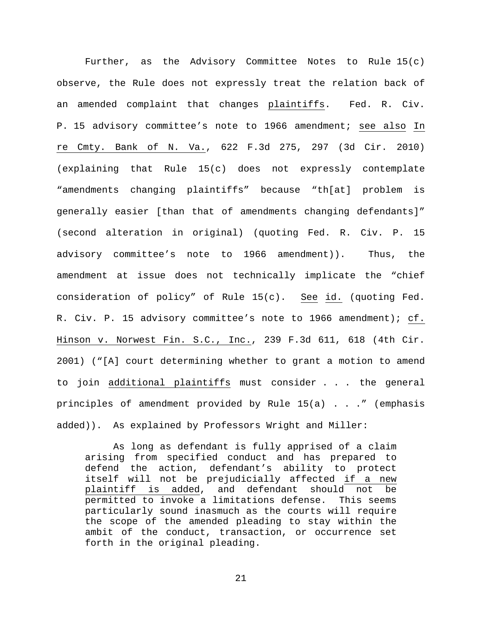Further, as the Advisory Committee Notes to Rule 15(c) observe, the Rule does not expressly treat the relation back of an amended complaint that changes plaintiffs. Fed. R. Civ. P. 15 advisory committee's note to 1966 amendment; see also In re Cmty. Bank of N. Va., 622 F.3d 275, 297 (3d Cir. 2010) (explaining that Rule 15(c) does not expressly contemplate "amendments changing plaintiffs" because "th[at] problem is generally easier [than that of amendments changing defendants]" (second alteration in original) (quoting Fed. R. Civ. P. 15 advisory committee's note to 1966 amendment)). Thus, the amendment at issue does not technically implicate the "chief consideration of policy" of Rule 15(c). See id. (quoting Fed. R. Civ. P. 15 advisory committee's note to 1966 amendment); cf. Hinson v. Norwest Fin. S.C., Inc., 239 F.3d 611, 618 (4th Cir. 2001) ("[A] court determining whether to grant a motion to amend to join additional plaintiffs must consider . . . the general principles of amendment provided by Rule 15(a) . . ." (emphasis added)). As explained by Professors Wright and Miller:

As long as defendant is fully apprised of a claim arising from specified conduct and has prepared to defend the action, defendant's ability to protect itself will not be prejudicially affected if a new plaintiff is added, and defendant should not be permitted to invoke a limitations defense. This seems particularly sound inasmuch as the courts will require the scope of the amended pleading to stay within the ambit of the conduct, transaction, or occurrence set forth in the original pleading.